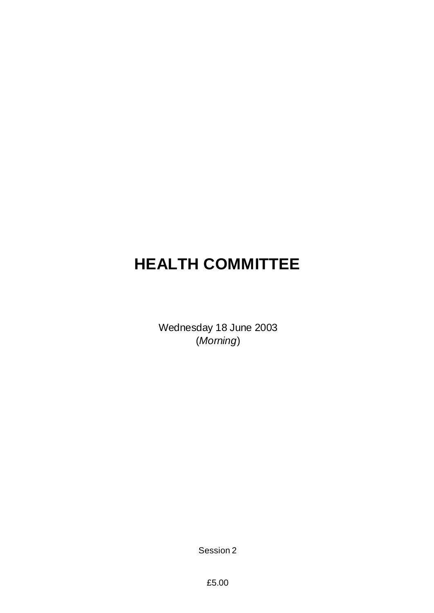# **HEALTH COMMITTEE**

Wednesday 18 June 2003 (*Morning*)

Session 2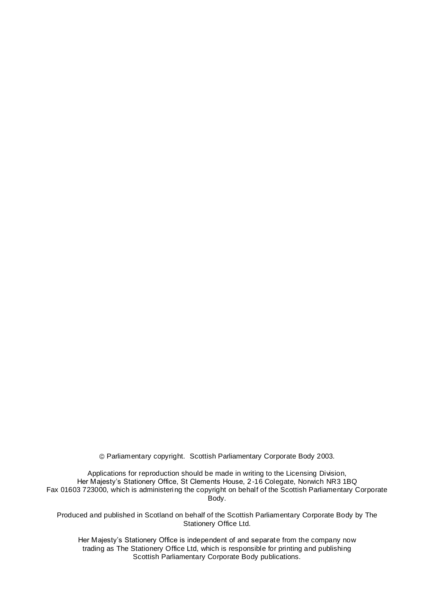Parliamentary copyright. Scottish Parliamentary Corporate Body 2003.

Applications for reproduction should be made in writing to the Licensing Division, Her Majesty's Stationery Office, St Clements House, 2-16 Colegate, Norwich NR3 1BQ Fax 01603 723000, which is administering the copyright on behalf of the Scottish Parliamentary Corporate Body.

Produced and published in Scotland on behalf of the Scottish Parliamentary Corporate Body by The Stationery Office Ltd.

Her Majesty's Stationery Office is independent of and separate from the company now trading as The Stationery Office Ltd, which is responsible for printing and publishing Scottish Parliamentary Corporate Body publications.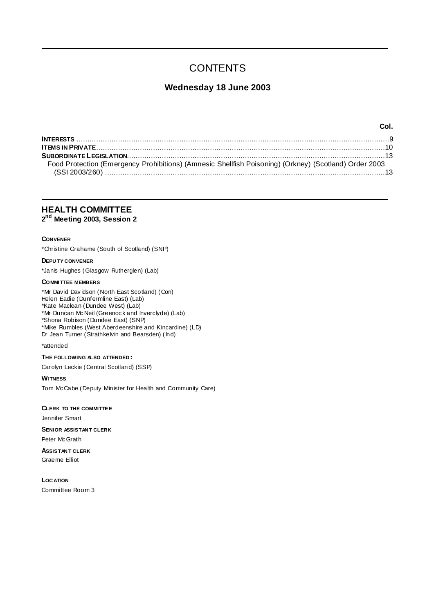## **CONTENTS**

### **Wednesday 18 June 2003**

| Food Protection (Emergency Prohibitions) (Amnesic Shellfish Poisoning) (Orkney) (Scotland) Order 2003 |  |
|-------------------------------------------------------------------------------------------------------|--|
|                                                                                                       |  |

**Col.**

**HEALTH COMMITTEE 2 nd Meeting 2003, Session 2**

#### **CONVENER**

\*Christine Grahame (South of Scotland) (SNP)

**DEPU TY CONVENER**

\*Janis Hughes (Glasgow Rutherglen) (Lab)

### **COMMI TTEE MEMBERS**

\*Mr David Davidson (North East Scotland) (Con) Helen Eadie (Dunfermline East) (Lab) \*Kate Maclean (Dundee West) (Lab) \*Mr Duncan McNeil (Greenock and Inverclyde) (Lab) \*Shona Robison (Dundee East) (SNP) \*Mike Rumbles (West Aberdeenshire and Kincardine) (LD) Dr Jean Turner (Strathkelvin and Bearsden) (Ind)

### \*attended

### **THE FOLLOWING ALSO ATTENDED :**

Carolyn Leckie (Central Scotland) (SSP)

**WITNESS**

Tom McCabe (Deputy Minister for Health and Community Care)

**CLERK TO THE COMMITTEE** Jennifer Smart **SENIOR ASSISTAN T CLERK** Peter McGrath

**ASSISTAN T CLERK** Graeme Elliot

**LOC ATION** Committee Room 3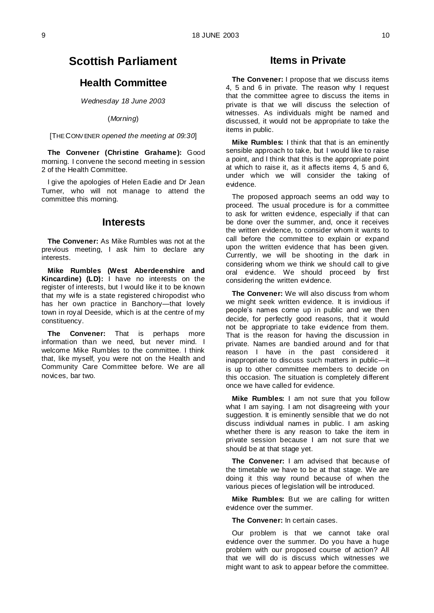### **Scottish Parliament**

### **Health Committee**

*Wednesday 18 June 2003*

(*Morning*)

[THE CONV ENER *opened the meeting at 09:30*]

**The Convener (Christine Grahame):** Good morning. I convene the second meeting in session 2 of the Health Committee.

I give the apologies of Helen Eadie and Dr Jean Turner, who will not manage to attend the committee this morning.

### **Interests**

**The Convener:** As Mike Rumbles was not at the previous meeting, I ask him to declare any interests.

**Mike Rumbles (West Aberdeenshire and Kincardine) (LD):** I have no interests on the register of interests, but I would like it to be known that my wife is a state registered chiropodist who has her own practice in Banchory—that lovely town in royal Deeside, which is at the centre of my constituency.

**The Convener:** That is perhaps more information than we need, but never mind. I welcome Mike Rumbles to the committee. I think that, like myself, you were not on the Health and Community Care Committee before. We are all novices, bar two.

### **Items in Private**

**The Convener:** I propose that we discuss items 4, 5 and 6 in private. The reason why I request that the committee agree to discuss the items in private is that we will discuss the selection of witnesses. As individuals might be named and discussed, it would not be appropriate to take the items in public.

**Mike Rumbles:** I think that that is an eminently sensible approach to take, but I would like to raise a point, and I think that this is the appropriate point at which to raise it, as it affects items 4, 5 and 6, under which we will consider the taking of evidence.

The proposed approach seems an odd way to proceed. The usual procedure is for a committee to ask for written evidence, especially if that can be done over the summer, and, once it receives the written evidence, to consider whom it wants to call before the committee to explain or expand upon the written evidence that has been given. Currently, we will be shooting in the dark in considering whom we think we should call to give oral evidence. We should proceed by first considering the written evidence.

**The Convener:** We will also discuss from whom we might seek written evidence. It is invidious if people's names come up in public and we then decide, for perfectly good reasons, that it would not be appropriate to take evidence from them. That is the reason for having the discussion in private. Names are bandied around and for that reason I have in the past considered it inappropriate to discuss such matters in public—it is up to other committee members to decide on this occasion. The situation is completely different once we have called for evidence.

**Mike Rumbles:** I am not sure that you follow what I am saying. I am not disagreeing with your suggestion. It is eminently sensible that we do not discuss individual names in public. I am asking whether there is any reason to take the item in private session because I am not sure that we should be at that stage yet.

**The Convener:** I am advised that because of the timetable we have to be at that stage. We are doing it this way round because of when the various pieces of legislation will be introduced.

**Mike Rumbles:** But we are calling for written evidence over the summer.

**The Convener:** In certain cases.

Our problem is that we cannot take oral evidence over the summer. Do you have a huge problem with our proposed course of action? All that we will do is discuss which witnesses we might want to ask to appear before the committee.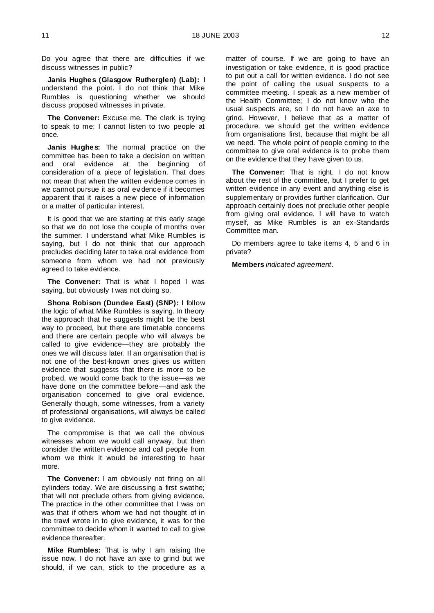Do you agree that there are difficulties if we discuss witnesses in public?

**Janis Hughes (Glasgow Rutherglen) (Lab):** I understand the point. I do not think that Mike Rumbles is questioning whether we should discuss proposed witnesses in private.

**The Convener:** Excuse me. The clerk is trying to speak to me; I cannot listen to two people at once.

**Janis Hughes:** The normal practice on the committee has been to take a decision on written and oral evidence at the beginning of consideration of a piece of legislation. That does not mean that when the written evidence comes in we cannot pursue it as oral evidence if it becomes apparent that it raises a new piece of information or a matter of particular interest.

It is good that we are starting at this early stage so that we do not lose the couple of months over the summer. I understand what Mike Rumbles is saying, but I do not think that our approach precludes deciding later to take oral evidence from someone from whom we had not previously agreed to take evidence.

**The Convener:** That is what I hoped I was saying, but obviously I was not doing so.

**Shona Robison (Dundee East) (SNP):** I follow the logic of what Mike Rumbles is saying. In theory the approach that he suggests might be the best way to proceed, but there are timetable concerns and there are certain people who will always be called to give evidence—they are probably the ones we will discuss later. If an organisation that is not one of the best-known ones gives us written evidence that suggests that there is more to be probed, we would come back to the issue—as we have done on the committee before—and ask the organisation concerned to give oral evidence. Generally though, some witnesses, from a variety of professional organisations, will always be called to give evidence.

The compromise is that we call the obvious witnesses whom we would call anyway, but then consider the written evidence and call people from whom we think it would be interesting to hear more.

**The Convener:** I am obviously not firing on all cylinders today. We are discussing a first swathe; that will not preclude others from giving evidence. The practice in the other committee that I was on was that if others whom we had not thought of in the trawl wrote in to give evidence, it was for the committee to decide whom it wanted to call to give evidence thereafter.

**Mike Rumbles:** That is why I am raising the issue now. I do not have an axe to grind but we should, if we can, stick to the procedure as a

matter of course. If we are going to have an investigation or take evidence, it is good practice to put out a call for written evidence. I do not see the point of calling the usual suspects to a committee meeting. I speak as a new member of the Health Committee; I do not know who the usual suspects are, so I do not have an axe to grind. However, I believe that as a matter of procedure, we should get the written evidence from organisations first, because that might be all we need. The whole point of people coming to the committee to give oral evidence is to probe them on the evidence that they have given to us.

**The Convener:** That is right. I do not know about the rest of the committee, but I prefer to get written evidence in any event and anything else is supplementary or provides further clarification. Our approach certainly does not preclude other people from giving oral evidence. I will have to watch myself, as Mike Rumbles is an ex-Standards Committee man.

Do members agree to take items 4, 5 and 6 in private?

**Members** *indicated agreement*.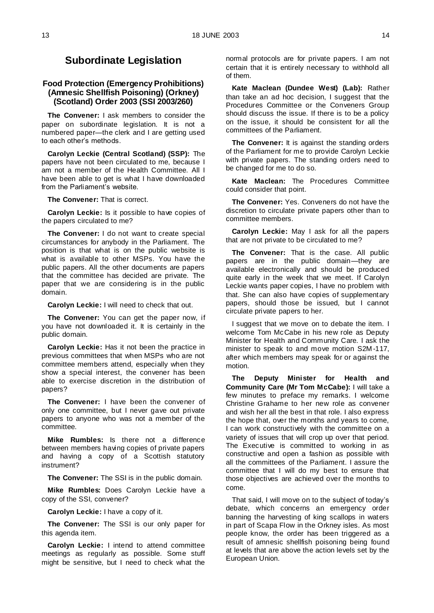### **Subordinate Legislation**

### **Food Protection (Emergency Prohibitions) (Amnesic Shellfish Poisoning) (Orkney) (Scotland) Order 2003 (SSI 2003/260)**

**The Convener:** I ask members to consider the paper on subordinate legislation. It is not a numbered paper—the clerk and I are getting used to each other's methods.

**Carolyn Leckie (Central Scotland) (SSP):** The papers have not been circulated to me, because I am not a member of the Health Committee. All I have been able to get is what I have downloaded from the Parliament's website.

**The Convener:** That is correct.

**Carolyn Leckie:** Is it possible to have copies of the papers circulated to me?

**The Convener:** I do not want to create special circumstances for anybody in the Parliament. The position is that what is on the public website is what is available to other MSPs. You have the public papers. All the other documents are papers that the committee has decided are private. The paper that we are considering is in the public domain.

**Carolyn Leckie:** I will need to check that out.

**The Convener:** You can get the paper now, if you have not downloaded it. It is certainly in the public domain.

**Carolyn Leckie:** Has it not been the practice in previous committees that when MSPs who are not committee members attend, especially when they show a special interest, the convener has been able to exercise discretion in the distribution of papers?

**The Convener:** I have been the convener of only one committee, but I never gave out private papers to anyone who was not a member of the committee.

**Mike Rumbles:** Is there not a difference between members having copies of private papers and having a copy of a Scottish statutory instrument?

**The Convener:** The SSI is in the public domain.

**Mike Rumbles:** Does Carolyn Leckie have a copy of the SSI, convener?

**Carolyn Leckie:** I have a copy of it.

**The Convener:** The SSI is our only paper for this agenda item.

**Carolyn Leckie:** I intend to attend committee meetings as regularly as possible. Some stuff might be sensitive, but I need to check what the

normal protocols are for private papers. I am not certain that it is entirely necessary to withhold all of them.

**Kate Maclean (Dundee West) (Lab):** Rather than take an ad hoc decision, I suggest that the Procedures Committee or the Conveners Group should discuss the issue. If there is to be a policy on the issue, it should be consistent for all the committees of the Parliament.

**The Convener:** It is against the standing orders of the Parliament for me to provide Carolyn Leckie with private papers. The standing orders need to be changed for me to do so.

**Kate Maclean:** The Procedures Committee could consider that point.

**The Convener:** Yes. Conveners do not have the discretion to circulate private papers other than to committee members.

**Carolyn Leckie:** May I ask for all the papers that are not private to be circulated to me?

**The Convener:** That is the case. All public papers are in the public domain—they are available electronically and should be produced quite early in the week that we meet. If Carolyn Leckie wants paper copies, I have no problem with that. She can also have copies of supplementary papers, should those be issued, but I cannot circulate private papers to her.

I suggest that we move on to debate the item. I welcome Tom McCabe in his new role as Deputy Minister for Health and Community Care. I ask the minister to speak to and move motion S2M -117, after which members may speak for or against the motion.

**The Deputy Minister for Health and Community Care (Mr Tom McCabe):** I will take a few minutes to preface my remarks. I welcome Christine Grahame to her new role as convener and wish her all the best in that role. I also express the hope that, over the months and years to come, I can work constructively with the committee on a variety of issues that will crop up over that period. The Executive is committed to working in as constructive and open a fashion as possible with all the committees of the Parliament. I assure the committee that I will do my best to ensure that those objectives are achieved over the months to come.

That said, I will move on to the subject of today's debate, which concerns an emergency order banning the harvesting of king scallops in waters in part of Scapa Flow in the Orkney isles. As most people know, the order has been triggered as a result of amnesic shellfish poisoning being found at levels that are above the action levels set by the European Union.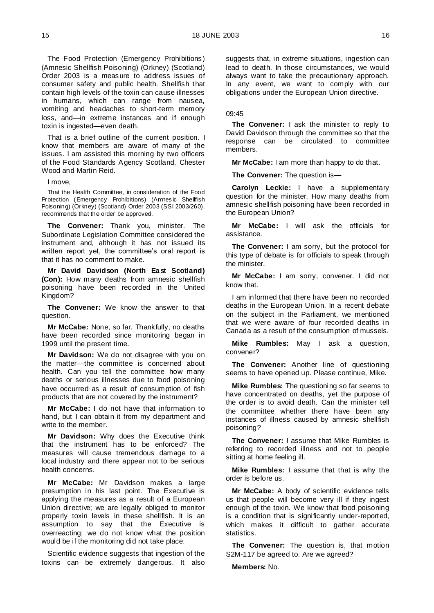The Food Protection (Emergency Prohibitions) (Amnesic Shellfish Poisoning) (Orkney) (Scotland) Order 2003 is a measure to address issues of consumer safety and public health. Shellfish that contain high levels of the toxin can cause illnesses in humans, which can range from nausea, vomiting and headaches to short-term memory loss, and—in extreme instances and if enough toxin is ingested—even death.

That is a brief outline of the current position. I know that members are aware of many of the issues. I am assisted this morning by two officers of the Food Standards Agency Scotland, Chester Wood and Martin Reid.

I move,

That the Health Committee, in consideration of the Food Protection (Emergency Prohibitions) (Amnesic Shellfish Poisoning) (Orkney) (Scotland) Order 2003 (SSI 2003/260), recommends that the order be approved.

**The Convener:** Thank you, minister. The Subordinate Legislation Committee considered the instrument and, although it has not issued its written report yet, the committee's oral report is that it has no comment to make.

**Mr David Davidson (North East Scotland) (Con):** How many deaths from amnesic shellfish poisoning have been recorded in the United Kingdom?

**The Convener:** We know the answer to that question.

**Mr McCabe:** None, so far. Thankfully, no deaths have been recorded since monitoring began in 1999 until the present time.

**Mr Davidson:** We do not disagree with you on the matter—the committee is concerned about health. Can you tell the committee how many deaths or serious illnesses due to food poisoning have occurred as a result of consumption of fish products that are not covered by the instrument?

**Mr McCabe:** I do not have that information to hand, but I can obtain it from my department and write to the member.

**Mr Davidson:** Why does the Executive think that the instrument has to be enforced? The measures will cause tremendous damage to a local industry and there appear not to be serious health concerns.

**Mr McCabe:** Mr Davidson makes a large presumption in his last point. The Executive is applying the measures as a result of a European Union directive; we are legally obliged to monitor properly toxin levels in these shellfish. It is an assumption to say that the Executive is overreacting; we do not know what the position would be if the monitoring did not take place.

Scientific evidence suggests that ingestion of the toxins can be extremely dangerous. It also suggests that, in extreme situations, ingestion can lead to death. In those circumstances, we would always want to take the precautionary approach. In any event, we want to comply with our obligations under the European Union directive.

09:45

**The Convener:** I ask the minister to reply to David Davidson through the committee so that the response can be circulated to committee members.

**Mr McCabe:** I am more than happy to do that.

**The Convener:** The question is—

**Carolyn Leckie:** I have a supplementary question for the minister. How many deaths from amnesic shellfish poisoning have been recorded in the European Union?

**Mr McCabe:** I will ask the officials for assistance.

**The Convener:** I am sorry, but the protocol for this type of debate is for officials to speak through the minister.

**Mr McCabe:** I am sorry, convener. I did not know that.

I am informed that there have been no recorded deaths in the European Union. In a recent debate on the subject in the Parliament, we mentioned that we were aware of four recorded deaths in Canada as a result of the consumption of mussels.

**Mike Rumbles:** May I ask a question, convener?

**The Convener:** Another line of questioning seems to have opened up. Please continue, Mike.

**Mike Rumbles:** The questioning so far seems to have concentrated on deaths, yet the purpose of the order is to avoid death. Can the minister tell the committee whether there have been any instances of illness caused by amnesic shellfish poisoning?

**The Convener:** I assume that Mike Rumbles is referring to recorded illness and not to people sitting at home feeling ill.

**Mike Rumbles:** I assume that that is why the order is before us.

**Mr McCabe:** A body of scientific evidence tells us that people will become very ill if they ingest enough of the toxin. We know that food poisoning is a condition that is significantly under-reported, which makes it difficult to gather accurate statistics.

**The Convener:** The question is, that motion S2M-117 be agreed to. Are we agreed?

**Members:** No.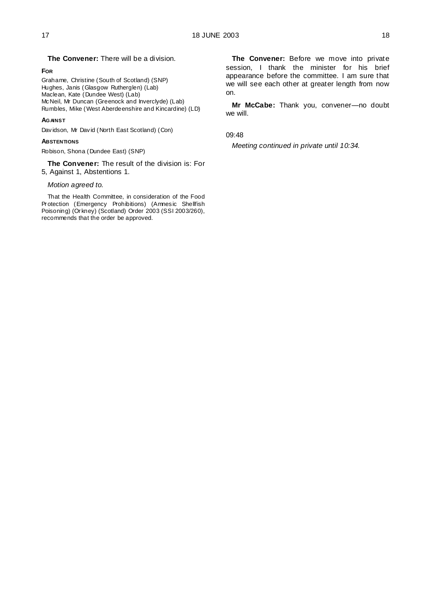#### **FOR**

Grahame, Christine (South of Scotland) (SNP) Hughes, Janis (Glasgow Rutherglen) (Lab) Maclean, Kate (Dundee West) (Lab) McNeil, Mr Duncan (Greenock and Inverclyde) (Lab) Rumbles, Mike (West Aberdeenshire and Kincardine) (LD)

**The Convener:** There will be a division.

#### **AGAINST**

Davidson, Mr David (North East Scotland) (Con)

### **ABSTENTIONS**

Robison, Shona (Dundee East) (SNP)

**The Convener:** The result of the division is: For 5, Against 1, Abstentions 1.

#### *Motion agreed to.*

That the Health Committee, in consideration of the Food Protection (Emergency Prohibitions) (Amnesic Shellfish Poisoning) (Orkney) (Scotland) Order 2003 (SSI 2003/260), recommends that the order be approved.

**The Convener:** Before we move into private session, I thank the minister for his brief appearance before the committee. I am sure that we will see each other at greater length from now on.

**Mr McCabe:** Thank you, convener—no doubt we will.

09:48

*Meeting continued in private until 10:34.*